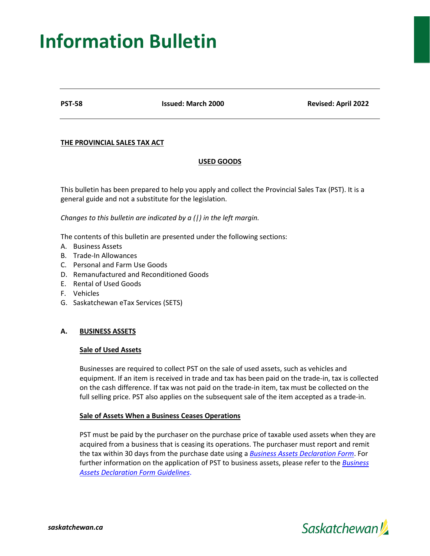# **Information Bulletin**

**PST-58 Issued: March 2000 Revised: April 2022**

# **THE PROVINCIAL SALES TAX ACT**

# **USED GOODS**

This bulletin has been prepared to help you apply and collect the Provincial Sales Tax (PST). It is a general guide and not a substitute for the legislation.

*Changes to this bulletin are indicated by a (|) in the left margin.*

The contents of this bulletin are presented under the following sections:

- A. Business Assets
- B. Trade-In Allowances
- C. Personal and Farm Use Goods
- D. Remanufactured and Reconditioned Goods
- E. Rental of Used Goods
- F. Vehicles

*saskatchewan.ca*

G. Saskatchewan eTax Services (SETS)

#### **A. BUSINESS ASSETS**

#### **Sale of Used Assets**

Businesses are required to collect PST on the sale of used assets, such as vehicles and equipment. If an item is received in trade and tax has been paid on the trade-in, tax is collected on the cash difference. If tax was not paid on the trade-in item, tax must be collected on the full selling price. PST also applies on the subsequent sale of the item accepted as a trade-in.

#### **Sale of Assets When a Business Ceases Operations**

PST must be paid by the purchaser on the purchase price of taxable used assets when they are acquired from a business that is ceasing its operations. The purchaser must report and remit the tax within 30 days from the purchase date using a *[Business Assets Declaration Form](https://sets.saskatchewan.ca/rptp/wcm/connect/c0843afd-8b16-41ed-8b70-c3c279f7a7c1/PST+Business+Assets+Declaration+Form.pdf?MOD=AJPERES&CACHEID=ROOTWORKSPACE-c0843afd-8b16-41ed-8b70-c3c279f7a7c1-mwfxldS)*. For further information on the application of PST to business assets, please refer to the *[Business](https://sets.saskatchewan.ca/rptp/wcm/connect/36417eb6-f196-422b-a3de-d12fe11f2a20/PST+Business+Assets+Declaration+Form+Guidelines.pdf?MOD=AJPERES&CACHEID=ROOTWORKSPACE-36417eb6-f196-422b-a3de-d12fe11f2a20-mwfCzPA) [Assets Declaration Form Guidelines](https://sets.saskatchewan.ca/rptp/wcm/connect/36417eb6-f196-422b-a3de-d12fe11f2a20/PST+Business+Assets+Declaration+Form+Guidelines.pdf?MOD=AJPERES&CACHEID=ROOTWORKSPACE-36417eb6-f196-422b-a3de-d12fe11f2a20-mwfCzPA)*.



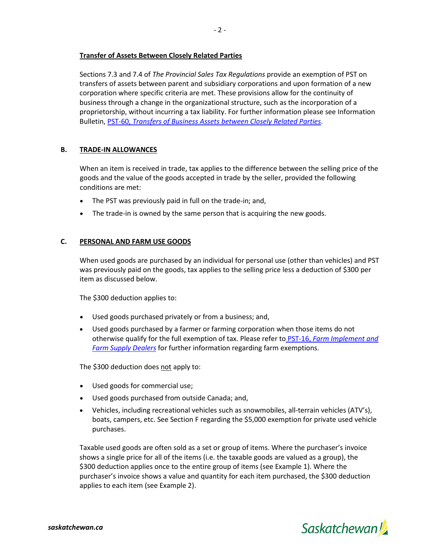### **Transfer of Assets Between Closely Related Parties**

Sections 7.3 and 7.4 of *The Provincial Sales Tax Regulations* provide an exemption of PST on transfers of assets between parent and subsidiary corporations and upon formation of a new corporation where specific criteria are met. These provisions allow for the continuity of business through a change in the organizational structure, such as the incorporation of a proprietorship, without incurring a tax liability. For further information please see Information Bulletin, PST-60, *[Transfers of Business Assets between Closely Related Parties](https://www.sets.saskatchewan.ca/rptp/wcm/connect/57c428bb-a220-4bb0-9688-15c2a0fb7a25/PST-60+Business+Assets+Transfers.pdf?MOD=AJPERES&CACHEID=ROOTWORKSPACE-57c428bb-a220-4bb0-9688-15c2a0fb7a25-mDq0.lJ)*.

# **B. TRADE-IN ALLOWANCES**

When an item is received in trade, tax applies to the difference between the selling price of the goods and the value of the goods accepted in trade by the seller, provided the following conditions are met:

- The PST was previously paid in full on the trade-in; and,
- The trade-in is owned by the same person that is acquiring the new goods.

# **C. PERSONAL AND FARM USE GOODS**

When used goods are purchased by an individual for personal use (other than vehicles) and PST was previously paid on the goods, tax applies to the selling price less a deduction of \$300 per item as discussed below.

The \$300 deduction applies to:

- Used goods purchased privately or from a business; and,
- Used goods purchased by a farmer or farming corporation when those items do not otherwise qualify for the full exemption of tax. Please refer to PST-16, *[Farm Implement and](https://www.sets.saskatchewan.ca/rptp/wcm/connect/2e61ddef-6777-4ce2-9121-f4016cba69e6/PST-16+Farm+Implement+and+Farm+Supply+Dealers.pdf?MOD=AJPERES&CACHEID=ROOTWORKSPACE-2e61ddef-6777-4ce2-9121-f4016cba69e6-mDq2jFL) [Farm Supply Dealers](https://www.sets.saskatchewan.ca/rptp/wcm/connect/2e61ddef-6777-4ce2-9121-f4016cba69e6/PST-16+Farm+Implement+and+Farm+Supply+Dealers.pdf?MOD=AJPERES&CACHEID=ROOTWORKSPACE-2e61ddef-6777-4ce2-9121-f4016cba69e6-mDq2jFL)* for further information regarding farm exemptions.

The \$300 deduction does not apply to:

- Used goods for commercial use;
- Used goods purchased from outside Canada; and,
- Vehicles, including recreational vehicles such as snowmobiles, all-terrain vehicles (ATV's), boats, campers, etc. See Section F regarding the \$5,000 exemption for private used vehicle purchases.

Taxable used goods are often sold as a set or group of items. Where the purchaser's invoice shows a single price for all of the items (i.e. the taxable goods are valued as a group), the \$300 deduction applies once to the entire group of items (see Example 1). Where the purchaser's invoice shows a value and quantity for each item purchased, the \$300 deduction applies to each item (see Example 2).

Saskatchewan!

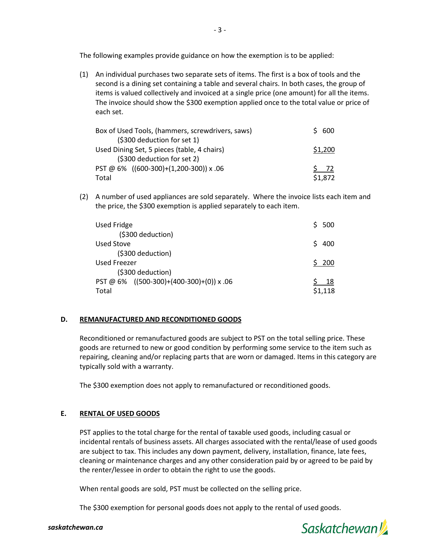The following examples provide guidance on how the exemption is to be applied:

(1) An individual purchases two separate sets of items. The first is a box of tools and the second is a dining set containing a table and several chairs. In both cases, the group of items is valued collectively and invoiced at a single price (one amount) for all the items. The invoice should show the \$300 exemption applied once to the total value or price of each set.

| Box of Used Tools, (hammers, screwdrivers, saws) | 600     |
|--------------------------------------------------|---------|
| (\$300 deduction for set 1)                      |         |
| Used Dining Set, 5 pieces (table, 4 chairs)      | \$1,200 |
| (\$300 deduction for set 2)                      |         |
| PST @ 6% ((600-300)+(1,200-300)) x .06           | 72      |
| Total                                            | \$1,872 |

(2) A number of used appliances are sold separately. Where the invoice lists each item and the price, the \$300 exemption is applied separately to each item.

| Used Fridge                                     | \$500   |
|-------------------------------------------------|---------|
| (\$300 deduction)                               |         |
| Used Stove                                      | 400     |
| (\$300 deduction)                               |         |
| Used Freezer                                    | S 200   |
| (\$300 deduction)                               |         |
| PST @ 6% $((500-300)+(400-300)+(0)) \times .06$ | 18      |
| Total                                           | \$1,118 |

# **D. REMANUFACTURED AND RECONDITIONED GOODS**

Reconditioned or remanufactured goods are subject to PST on the total selling price. These goods are returned to new or good condition by performing some service to the item such as repairing, cleaning and/or replacing parts that are worn or damaged. Items in this category are typically sold with a warranty.

The \$300 exemption does not apply to remanufactured or reconditioned goods.

# **E. RENTAL OF USED GOODS**

PST applies to the total charge for the rental of taxable used goods, including casual or incidental rentals of business assets. All charges associated with the rental/lease of used goods are subject to tax. This includes any down payment, delivery, installation, finance, late fees, cleaning or maintenance charges and any other consideration paid by or agreed to be paid by the renter/lessee in order to obtain the right to use the goods.

When rental goods are sold, PST must be collected on the selling price.

The \$300 exemption for personal goods does not apply to the rental of used goods.

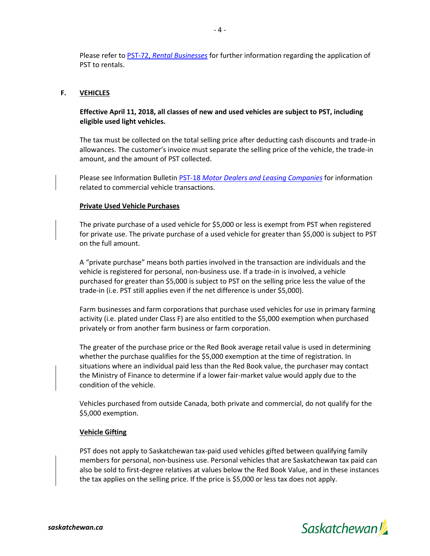Please refer to PST-72, *[Rental Businesses](https://www.sets.saskatchewan.ca/rptp/wcm/connect/77091ef5-a60c-4698-a0fd-af47a496ed45/PST-72+Rental+Businesses.pdf?MOD=AJPERES&CACHEID=ROOTWORKSPACE-77091ef5-a60c-4698-a0fd-af47a496ed45-mDq0KKt)* for further information regarding the application of PST to rentals.

#### **F. VEHICLES**

**Effective April 11, 2018, all classes of new and used vehicles are subject to PST, including eligible used light vehicles.**

The tax must be collected on the total selling price after deducting cash discounts and trade-in allowances. The customer's invoice must separate the selling price of the vehicle, the trade-in amount, and the amount of PST collected.

Please see Information Bulletin PST-18 *[Motor Dealers and Leasing Companies](https://www.sets.saskatchewan.ca/rptp/wcm/connect/86a603f7-9043-4707-9f5a-58672f923d0c/PST.018+Motor+Dealers+%26+Leasing+Companies+%28Dec+2019%29.pdf?MOD=AJPERES&CACHEID=ROOTWORKSPACE-86a603f7-9043-4707-9f5a-58672f923d0c-nWjidz9)* for information related to commercial vehicle transactions.

#### **Private Used Vehicle Purchases**

The private purchase of a used vehicle for \$5,000 or less is exempt from PST when registered for private use. The private purchase of a used vehicle for greater than \$5,000 is subject to PST on the full amount.

A "private purchase" means both parties involved in the transaction are individuals and the vehicle is registered for personal, non-business use. If a trade-in is involved, a vehicle purchased for greater than \$5,000 is subject to PST on the selling price less the value of the trade-in (i.e. PST still applies even if the net difference is under \$5,000).

Farm businesses and farm corporations that purchase used vehicles for use in primary farming activity (i.e. plated under Class F) are also entitled to the \$5,000 exemption when purchased privately or from another farm business or farm corporation.

The greater of the purchase price or the Red Book average retail value is used in determining whether the purchase qualifies for the \$5,000 exemption at the time of registration. In situations where an individual paid less than the Red Book value, the purchaser may contact the Ministry of Finance to determine if a lower fair-market value would apply due to the condition of the vehicle.

Vehicles purchased from outside Canada, both private and commercial, do not qualify for the \$5,000 exemption.

#### **Vehicle Gifting**

PST does not apply to Saskatchewan tax-paid used vehicles gifted between qualifying family members for personal, non-business use. Personal vehicles that are Saskatchewan tax paid can also be sold to first-degree relatives at values below the Red Book Value, and in these instances the tax applies on the selling price. If the price is \$5,000 or less tax does not apply.



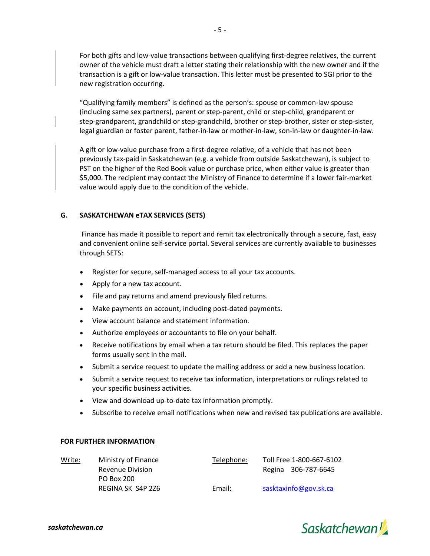For both gifts and low-value transactions between qualifying first-degree relatives, the current owner of the vehicle must draft a letter stating their relationship with the new owner and if the transaction is a gift or low-value transaction. This letter must be presented to SGI prior to the new registration occurring.

"Qualifying family members" is defined as the person's: spouse or common-law spouse (including same sex partners), parent or step-parent, child or step-child, grandparent or step-grandparent, grandchild or step-grandchild, brother or step-brother, sister or step-sister, legal guardian or foster parent, father-in-law or mother-in-law, son-in-law or daughter-in-law.

A gift or low-value purchase from a first-degree relative, of a vehicle that has not been previously tax-paid in Saskatchewan (e.g. a vehicle from outside Saskatchewan), is subject to PST on the higher of the Red Book value or purchase price, when either value is greater than \$5,000. The recipient may contact the Ministry of Finance to determine if a lower fair-market value would apply due to the condition of the vehicle.

#### **G. SASKATCHEWAN eTAX SERVICES (SETS)**

Finance has made it possible to report and remit tax electronically through a secure, fast, easy and convenient online self-service portal. Several services are currently available to businesses through SETS:

- Register for secure, self-managed access to all your tax accounts.
- Apply for a new tax account.
- File and pay returns and amend previously filed returns.
- Make payments on account, including post-dated payments.
- View account balance and statement information.
- Authorize employees or accountants to file on your behalf.
- Receive notifications by email when a tax return should be filed. This replaces the paper forms usually sent in the mail.
- Submit a service request to update the mailing address or add a new business location.
- Submit a service request to receive tax information, interpretations or rulings related to your specific business activities.
- View and download up-to-date tax information promptly.
- Subscribe to receive email notifications when new and revised tax publications are available.

#### **FOR FURTHER INFORMATION**

| <u>Write:</u> | Ministry of Finance | Telephone: | Toll Free 1-800-667-6102 |
|---------------|---------------------|------------|--------------------------|
|               | Revenue Division    |            | Regina 306-787-6645      |
|               | PO Box 200          |            |                          |
|               | REGINA SK S4P 2Z6   | Email:     | sasktaxinfo@gov.sk.ca    |